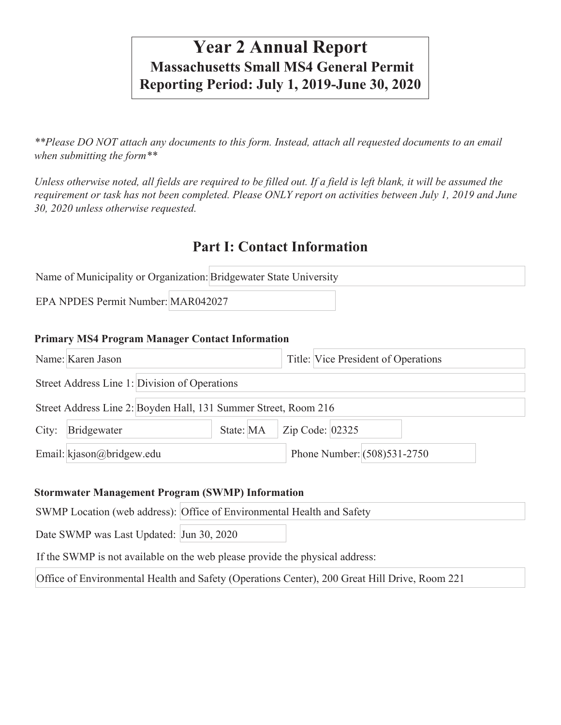# **Year 2 Annual Report Massachusetts Small MS4 General Permit Reporting Period: July 1, 2019-June 30, 2020**

*\*\*Please DO NOT attach any documents to this form. Instead, attach all requested documents to an email when submitting the form\*\** 

*Unless otherwise noted, all fields are required to be filled out. If a field is left blank, it will be assumed the requirement or task has not been completed. Please ONLY report on activities between July 1, 2019 and June 30, 2020 unless otherwise requested.* 

## **Part I: Contact Information**

|                                    | Name of Municipality or Organization: Bridgewater State University |  |
|------------------------------------|--------------------------------------------------------------------|--|
| EPA NPDES Permit Number: MAR042027 |                                                                    |  |

#### **Primary MS4 Program Manager Contact Information**

|       | Name: Karen Jason                                               |  |  |                               |  | Title: Vice President of Operations |  |  |
|-------|-----------------------------------------------------------------|--|--|-------------------------------|--|-------------------------------------|--|--|
|       | Street Address Line 1: Division of Operations                   |  |  |                               |  |                                     |  |  |
|       | Street Address Line 2: Boyden Hall, 131 Summer Street, Room 216 |  |  |                               |  |                                     |  |  |
| City: | Bridgewater                                                     |  |  | State: $MA$ $Zip$ Code: 02325 |  |                                     |  |  |
|       | Email: kjason@bridgew.edu                                       |  |  |                               |  | Phone Number: $(508)531-2750$       |  |  |

#### **Stormwater Management Program (SWMP) Information**

|                                                                                               | SWMP Location (web address): Office of Environmental Health and Safety |  |  |  |  |  |
|-----------------------------------------------------------------------------------------------|------------------------------------------------------------------------|--|--|--|--|--|
| Date SWMP was Last Updated: Jun 30, 2020                                                      |                                                                        |  |  |  |  |  |
| If the SWMP is not available on the web please provide the physical address:                  |                                                                        |  |  |  |  |  |
| Office of Environmental Health and Safety (Operations Center), 200 Great Hill Drive, Room 221 |                                                                        |  |  |  |  |  |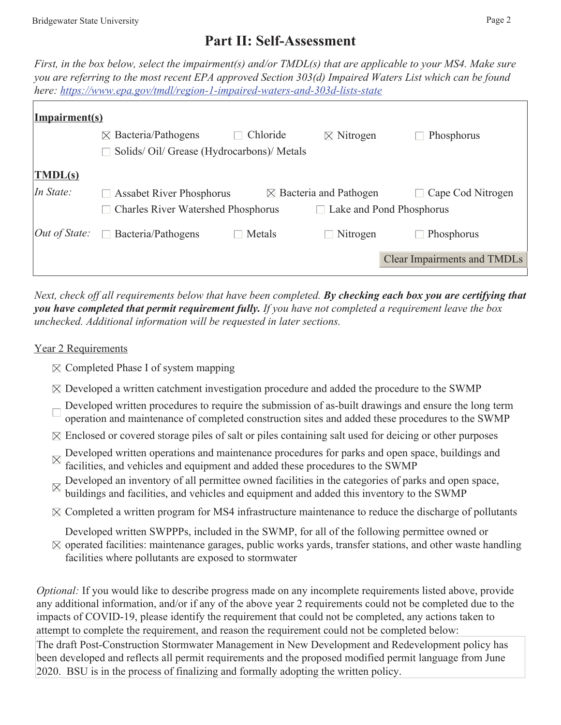## **Part II: Self-Assessment**

*First, in the box below, select the impairment(s) and/or TMDL(s) that are applicable to your MS4. Make sure you are referring to the most recent EPA approved Section 303(d) Impaired Waters List which can be found here: <https://www.epa.gov/tmdl/region-1-impaired-waters-and-303d-lists-state>* 

| Impairment(s)      |                                           |          |                                          |                                    |
|--------------------|-------------------------------------------|----------|------------------------------------------|------------------------------------|
|                    | $\boxtimes$ Bacteria/Pathogens            | Chloride | $\boxtimes$ Nitrogen                     | Phosphorus                         |
|                    | Solids/Oil/Grease (Hydrocarbons)/Metals   |          |                                          |                                    |
| $\mathbf{TMDL(s)}$ |                                           |          |                                          |                                    |
| In State:          | <b>Assabet River Phosphorus</b>           |          | $\boxtimes$ Bacteria and Pathogen        | Cape Cod Nitrogen                  |
|                    | <b>Charles River Watershed Phosphorus</b> |          | Lake and Pond Phosphorus<br>$\mathbf{I}$ |                                    |
| $Out$ of State:    | $\Box$ Bacteria/Pathogens                 | Metals   | $\Box$ Nitrogen                          | Phosphorus                         |
|                    |                                           |          |                                          | <b>Clear Impairments and TMDLs</b> |
|                    |                                           |          |                                          |                                    |

*Next, check off all requirements below that have been completed. By checking each box you are certifying that you have completed that permit requirement fully. If you have not completed a requirement leave the box unchecked. Additional information will be requested in later sections.* 

#### Year 2 Requirements

- $\boxtimes$  Completed Phase I of system mapping
- $\boxtimes$  Developed a written catchment investigation procedure and added the procedure to the SWMP
- Developed written procedures to require the submission of as-built drawings and ensure the long term operation and maintenance of completed construction sites and added these procedures to the SWMP
- $\boxtimes$  Enclosed or covered storage piles of salt or piles containing salt used for deicing or other purposes
- Developed written operations and maintenance procedures for parks and open space, buildings and  $\mathbb{R}$  foothings and  $\mathbb{R}$ facilities, and vehicles and equipment and added these procedures to the SWMP
- Developed an inventory of all permittee owned facilities in the categories of parks and open space, buildings and facilities, and vehicles and equipment and added this inventory to the SWMP
- $\boxtimes$  Completed a written program for MS4 infrastructure maintenance to reduce the discharge of pollutants

Developed written SWPPPs, included in the SWMP, for all of the following permittee owned or

 $\boxtimes$  operated facilities: maintenance garages, public works yards, transfer stations, and other waste handling facilities where pollutants are exposed to stormwater

*Optional:* If you would like to describe progress made on any incomplete requirements listed above, provide any additional information, and/or if any of the above year 2 requirements could not be completed due to the impacts of COVID-19, please identify the requirement that could not be completed, any actions taken to attempt to complete the requirement, and reason the requirement could not be completed below: The draft Post-Construction Stormwater Management in New Development and Redevelopment policy has

been developed and reflects all permit requirements and the proposed modified permit language from June 2020. BSU is in the process of finalizing and formally adopting the written policy.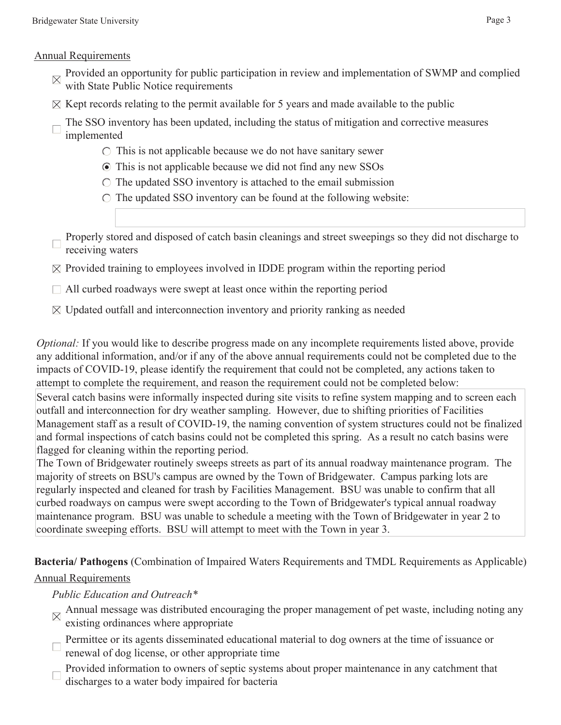#### Annual Requirements

- Provided an opportunity for public participation in review and implementation of SWMP and complied with State Public Notice requirements
- $\boxtimes$  Kept records relating to the permit available for 5 years and made available to the public
- The SSO inventory has been updated, including the status of mitigation and corrective measures implemented
	- $\circ$  This is not applicable because we do not have sanitary sewer
	- This is not applicable because we did not find any new SSOs
	- $\circ$  The updated SSO inventory is attached to the email submission
	- $\circ$  The updated SSO inventory can be found at the following website:
- Properly stored and disposed of catch basin cleanings and street sweepings so they did not discharge to receiving waters
- $\boxtimes$  Provided training to employees involved in IDDE program within the reporting period
- $\Box$  All curbed roadways were swept at least once within the reporting period
- $\boxtimes$  Updated outfall and interconnection inventory and priority ranking as needed

*Optional:* If you would like to describe progress made on any incomplete requirements listed above, provide any additional information, and/or if any of the above annual requirements could not be completed due to the impacts of COVID-19, please identify the requirement that could not be completed, any actions taken to attempt to complete the requirement, and reason the requirement could not be completed below:

Several catch basins were informally inspected during site visits to refine system mapping and to screen each outfall and interconnection for dry weather sampling. However, due to shifting priorities of Facilities Management staff as a result of COVID-19, the naming convention of system structures could not be finalized and formal inspections of catch basins could not be completed this spring. As a result no catch basins were flagged for cleaning within the reporting period.

The Town of Bridgewater routinely sweeps streets as part of its annual roadway maintenance program. The majority of streets on BSU's campus are owned by the Town of Bridgewater. Campus parking lots are regularly inspected and cleaned for trash by Facilities Management. BSU was unable to confirm that all curbed roadways on campus were swept according to the Town of Bridgewater's typical annual roadway maintenance program. BSU was unable to schedule a meeting with the Town of Bridgewater in year 2 to coordinate sweeping efforts. BSU will attempt to meet with the Town in year 3.

**Bacteria/ Pathogens** (Combination of Impaired Waters Requirements and TMDL Requirements as Applicable)

## Annual Requirements

## *Public Education and Outreach\**

- Annual message was distributed encouraging the proper management of pet waste, including noting any existing ordinances where appropriate
- Permittee or its agents disseminated educational material to dog owners at the time of issuance or renewal of dog license, or other appropriate time
- Provided information to owners of septic systems about proper maintenance in any catchment that discharges to a water body impaired for bacteria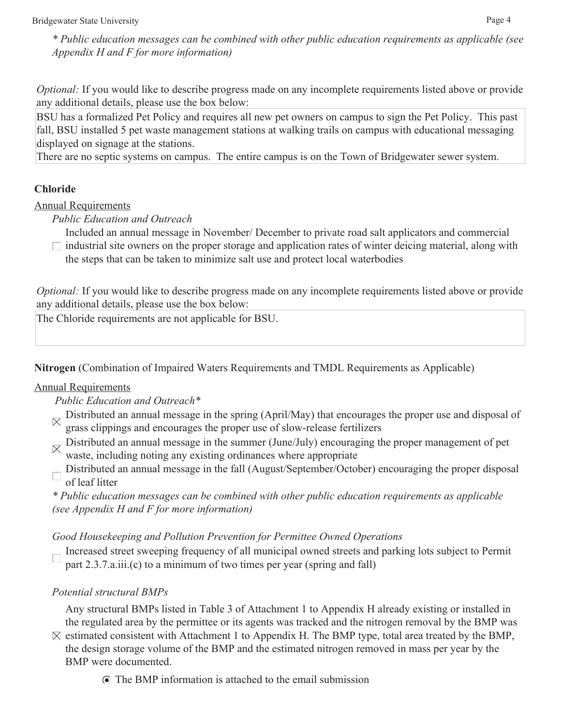*\* Public education messages can be combined with other public education requirements as applicable (see Appendix H and F for more information)* 

*Optional:* If you would like to describe progress made on any incomplete requirements listed above or provide any additional details, please use the box below:

BSU has a formalized Pet Policy and requires all new pet owners on campus to sign the Pet Policy. This past fall, BSU installed 5 pet waste management stations at walking trails on campus with educational messaging displayed on signage at the stations.

There are no septic systems on campus. The entire campus is on the Town of Bridgewater sewer system.

## **Chloride**

Annual Requirements

*Public Education and Outreach* 

Included an annual message in November/ December to private road salt applicators and commercial  $\Box$  industrial site owners on the proper storage and application rates of winter deicing material, along with the steps that can be taken to minimize salt use and protect local waterbodies

*Optional:* If you would like to describe progress made on any incomplete requirements listed above or provide any additional details, please use the box below:

The Chloride requirements are not applicable for BSU.

**Nitrogen** (Combination of Impaired Waters Requirements and TMDL Requirements as Applicable)

## Annual Requirements

 *Public Education and Outreach\** 

- $\mathbb{R}$  Distributed an annual message in the spring (April/May) that encourages the proper use and disposal of grass clippings and encourages the proper use of slow-release fertilizers
- $\boxtimes$  Distributed an annual message in the summer (June/July) encouraging the proper management of pet waste, including noting any existing ordinances where appropriate
- Distributed an annual message in the fall (August/September/October) encouraging the proper disposal of leaf litter

*\* Public education messages can be combined with other public education requirements as applicable (see Appendix H and F for more information)* 

## *Good Housekeeping and Pollution Prevention for Permittee Owned Operations*

Increased street sweeping frequency of all municipal owned streets and parking lots subject to Permit part 2.3.7.a.iii.(c) to a minimum of two times per year (spring and fall)

## *Potential structural BMPs*

Any structural BMPs listed in Table 3 of Attachment 1 to Appendix H already existing or installed in the regulated area by the permittee or its agents was tracked and the nitrogen removal by the BMP was

- $\boxtimes$  estimated consistent with Attachment 1 to Appendix H. The BMP type, total area treated by the BMP, the design storage volume of the BMP and the estimated nitrogen removed in mass per year by the BMP were documented.
	- The BMP information is attached to the email submission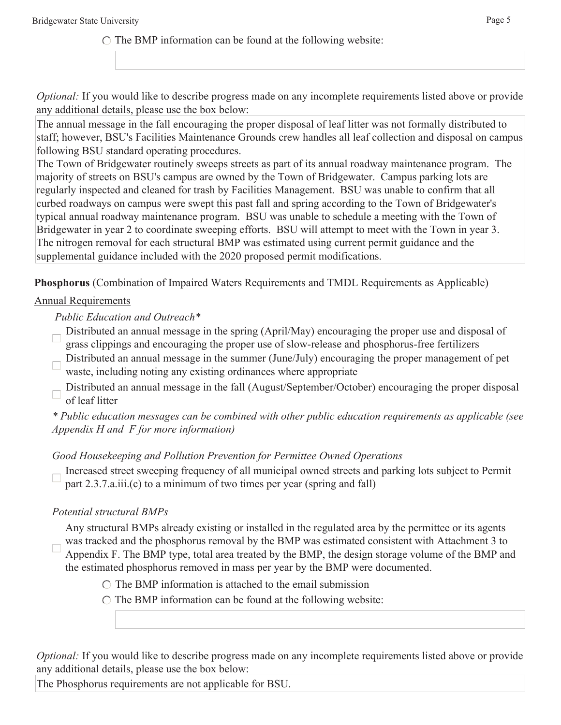$\circ$  The BMP information can be found at the following website:

*Optional:* If you would like to describe progress made on any incomplete requirements listed above or provide any additional details, please use the box below:

The annual message in the fall encouraging the proper disposal of leaf litter was not formally distributed to staff; however, BSU's Facilities Maintenance Grounds crew handles all leaf collection and disposal on campus following BSU standard operating procedures.

The Town of Bridgewater routinely sweeps streets as part of its annual roadway maintenance program. The majority of streets on BSU's campus are owned by the Town of Bridgewater. Campus parking lots are regularly inspected and cleaned for trash by Facilities Management. BSU was unable to confirm that all curbed roadways on campus were swept this past fall and spring according to the Town of Bridgewater's typical annual roadway maintenance program. BSU was unable to schedule a meeting with the Town of Bridgewater in year 2 to coordinate sweeping efforts. BSU will attempt to meet with the Town in year 3. The nitrogen removal for each structural BMP was estimated using current permit guidance and the supplemental guidance included with the 2020 proposed permit modifications.

**Phosphorus** (Combination of Impaired Waters Requirements and TMDL Requirements as Applicable)

## Annual Requirements

### *Public Education and Outreach\**

- Distributed an annual message in the spring (April/May) encouraging the proper use and disposal of grass clippings and encouraging the proper use of slow-release and phosphorus-free fertilizers
- Distributed an annual message in the summer (June/July) encouraging the proper management of pet waste, including noting any existing ordinances where appropriate
- Distributed an annual message in the fall (August/September/October) encouraging the proper disposal of leaf litter

*\* Public education messages can be combined with other public education requirements as applicable (see Appendix H and F for more information)* 

## *Good Housekeeping and Pollution Prevention for Permittee Owned Operations*

Increased street sweeping frequency of all municipal owned streets and parking lots subject to Permit part 2.3.7.a.iii.(c) to a minimum of two times per year (spring and fall)

## *Potential structural BMPs*

Any structural BMPs already existing or installed in the regulated area by the permittee or its agents was tracked and the phosphorus removal by the BMP was estimated consistent with Attachment 3 to Appendix F. The BMP type, total area treated by the BMP, the design storage volume of the BMP and the estimated phosphorus removed in mass per year by the BMP were documented.

- $\circ$  The BMP information is attached to the email submission
- $\circ$  The BMP information can be found at the following website:

*Optional:* If you would like to describe progress made on any incomplete requirements listed above or provide any additional details, please use the box below:

The Phosphorus requirements are not applicable for BSU.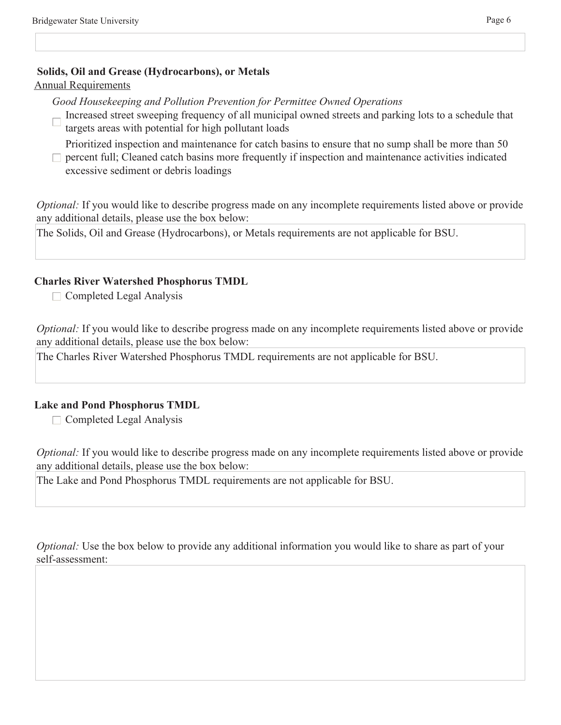#### **Solids, Oil and Grease (Hydrocarbons), or Metals**

#### Annual Requirements

*Good Housekeeping and Pollution Prevention for Permittee Owned Operations* 

Increased street sweeping frequency of all municipal owned streets and parking lots to a schedule that targets areas with potential for high pollutant loads

Prioritized inspection and maintenance for catch basins to ensure that no sump shall be more than 50

 $\Box$  percent full; Cleaned catch basins more frequently if inspection and maintenance activities indicated excessive sediment or debris loadings

*Optional:* If you would like to describe progress made on any incomplete requirements listed above or provide any additional details, please use the box below:

The Solids, Oil and Grease (Hydrocarbons), or Metals requirements are not applicable for BSU.

#### **Charles River Watershed Phosphorus TMDL**

 $\Box$  Completed Legal Analysis

*Optional:* If you would like to describe progress made on any incomplete requirements listed above or provide any additional details, please use the box below:

The Charles River Watershed Phosphorus TMDL requirements are not applicable for BSU.

#### **Lake and Pond Phosphorus TMDL**

 $\Box$  Completed Legal Analysis

*Optional:* If you would like to describe progress made on any incomplete requirements listed above or provide any additional details, please use the box below:

The Lake and Pond Phosphorus TMDL requirements are not applicable for BSU.

*Optional:* Use the box below to provide any additional information you would like to share as part of your self-assessment: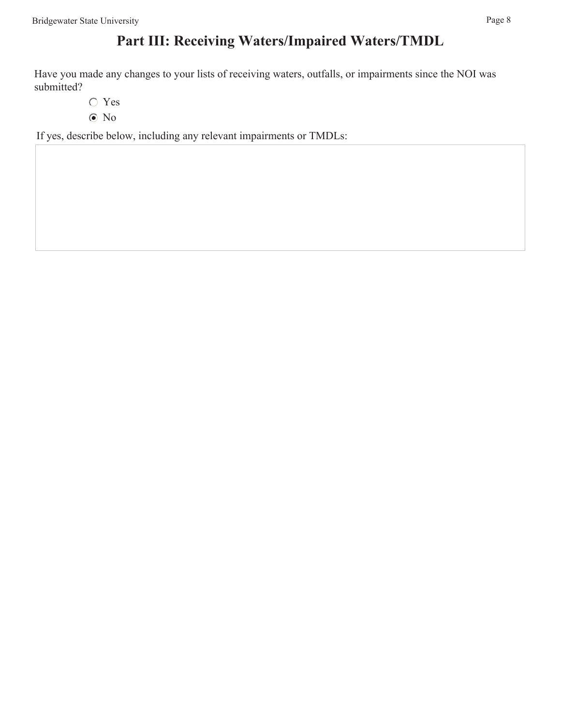# **Part III: Receiving Waters/Impaired Waters/TMDL**

Have you made any changes to your lists of receiving waters, outfalls, or impairments since the NOI was submitted?

- Yes
- No

If yes, describe below, including any relevant impairments or TMDLs: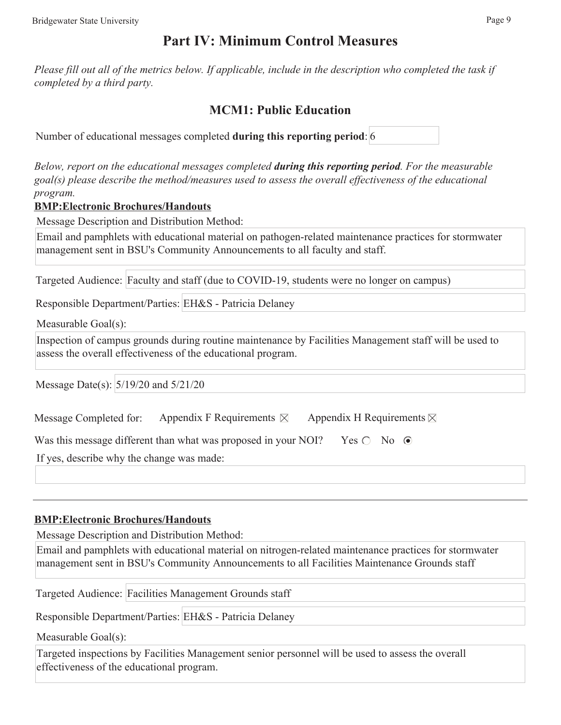## **Part IV: Minimum Control Measures**

*Please fill out all of the metrics below. If applicable, include in the description who completed the task if completed by a third party.* 

## **MCM1: Public Education**

Number of educational messages completed **during this reporting period**: 6

*Below, report on the educational messages completed during this reporting period. For the measurable goal(s) please describe the method/measures used to assess the overall effectiveness of the educational program.* 

#### **BMP:Electronic Brochures/Handouts**

Message Description and Distribution Method:

Email and pamphlets with educational material on pathogen-related maintenance practices for stormwater management sent in BSU's Community Announcements to all faculty and staff.

Targeted Audience: Faculty and staff (due to COVID-19, students were no longer on campus)

Responsible Department/Parties: EH&S - Patricia Delaney

Measurable Goal(s):

Inspection of campus grounds during routine maintenance by Facilities Management staff will be used to assess the overall effectiveness of the educational program.

Message Date(s): 5/19/20 and 5/21/20

| Message Completed for: | Appendix F Requirements $\boxtimes$ | Appendix H Requirements $\boxtimes$ |
|------------------------|-------------------------------------|-------------------------------------|
|------------------------|-------------------------------------|-------------------------------------|

| Was this message different than what was proposed in your NOI? Yes $\bigcirc$ No $\bigcirc$ |  |  |  |
|---------------------------------------------------------------------------------------------|--|--|--|
|---------------------------------------------------------------------------------------------|--|--|--|

If yes, describe why the change was made:

#### **BMP:Electronic Brochures/Handouts**

Message Description and Distribution Method:

Email and pamphlets with educational material on nitrogen-related maintenance practices for stormwater management sent in BSU's Community Announcements to all Facilities Maintenance Grounds staff

Targeted Audience: Facilities Management Grounds staff

Responsible Department/Parties: EH&S - Patricia Delaney

Measurable Goal(s):

Targeted inspections by Facilities Management senior personnel will be used to assess the overall effectiveness of the educational program.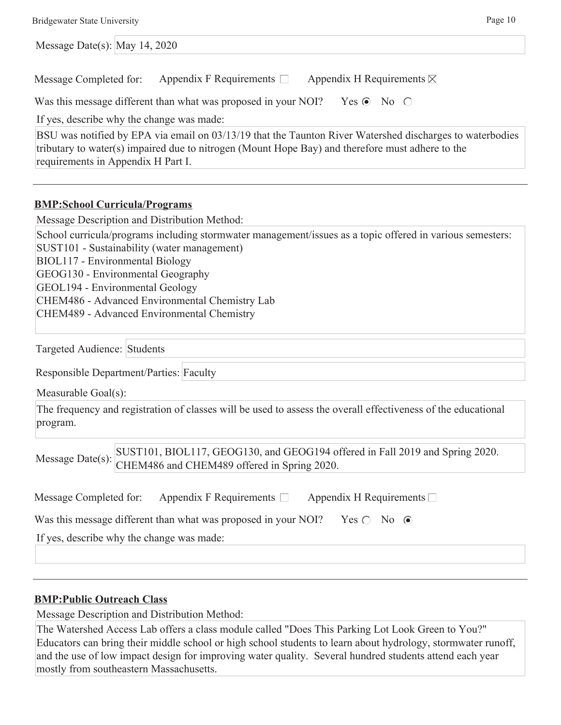| <b>Bridgewater State University</b>                                                                                                                                                                                                                                                                                                                                 | Page 10 |
|---------------------------------------------------------------------------------------------------------------------------------------------------------------------------------------------------------------------------------------------------------------------------------------------------------------------------------------------------------------------|---------|
| Message Date(s): May 14, 2020                                                                                                                                                                                                                                                                                                                                       |         |
| Appendix F Requirements $\Box$<br>Appendix H Requirements $\boxtimes$<br>Message Completed for:                                                                                                                                                                                                                                                                     |         |
| Was this message different than what was proposed in your NOI?<br>Yes $\odot$ No $\odot$                                                                                                                                                                                                                                                                            |         |
| If yes, describe why the change was made:                                                                                                                                                                                                                                                                                                                           |         |
| BSU was notified by EPA via email on 03/13/19 that the Taunton River Watershed discharges to waterbodies<br>tributary to water(s) impaired due to nitrogen (Mount Hope Bay) and therefore must adhere to the<br>requirements in Appendix H Part I.                                                                                                                  |         |
| <b>BMP:School Curricula/Programs</b>                                                                                                                                                                                                                                                                                                                                |         |
| Message Description and Distribution Method:                                                                                                                                                                                                                                                                                                                        |         |
| School curricula/programs including stormwater management/issues as a topic offered in various semesters:<br>SUST101 - Sustainability (water management)<br>BIOL117 - Environmental Biology<br>GEOG130 - Environmental Geography<br>GEOL194 - Environmental Geology<br>CHEM486 - Advanced Environmental Chemistry Lab<br>CHEM489 - Advanced Environmental Chemistry |         |
| Targeted Audience: Students                                                                                                                                                                                                                                                                                                                                         |         |
| Responsible Department/Parties: Faculty                                                                                                                                                                                                                                                                                                                             |         |
| Measurable Goal(s):                                                                                                                                                                                                                                                                                                                                                 |         |
| The frequency and registration of classes will be used to assess the overall effectiveness of the educational<br>program.                                                                                                                                                                                                                                           |         |
| SUST101, BIOL117, GEOG130, and GEOG194 offered in Fall 2019 and Spring 2020.<br>Message Date(s):<br>CHEM486 and CHEM489 offered in Spring 2020.                                                                                                                                                                                                                     |         |
| Appendix F Requirements $\Box$ Appendix H Requirements $\Box$<br>Message Completed for:                                                                                                                                                                                                                                                                             |         |
| Was this message different than what was proposed in your NOI?<br>Yes $\bigcirc$ No $\odot$                                                                                                                                                                                                                                                                         |         |
| If yes, describe why the change was made:                                                                                                                                                                                                                                                                                                                           |         |
|                                                                                                                                                                                                                                                                                                                                                                     |         |
| <b>BMP:Public Outreach Class</b>                                                                                                                                                                                                                                                                                                                                    |         |
| Message Description and Distribution Method:                                                                                                                                                                                                                                                                                                                        |         |
| The Watershed Access Lab offers a class module called "Does This Parking Lot Look Green to You?"                                                                                                                                                                                                                                                                    |         |

Educators can bring their middle school or high school students to learn about hydrology, stormwater runoff, and the use of low impact design for improving water quality. Several hundred students attend each year mostly from southeastern Massachusetts.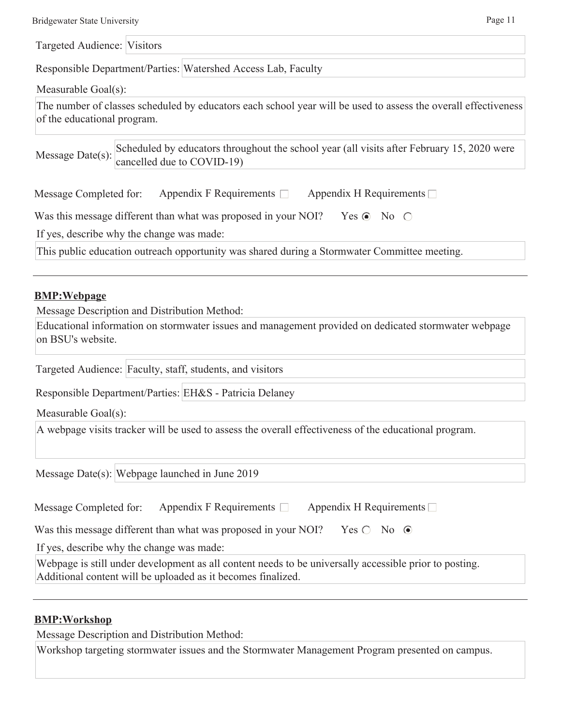| <b>Bridgewater State University</b> | Page $11$ |
|-------------------------------------|-----------|
|                                     |           |

Targeted Audience: Visitors

Responsible Department/Parties: Watershed Access Lab, Faculty

Measurable Goal(s):

The number of classes scheduled by educators each school year will be used to assess the overall effectiveness of the educational program.

Message Date(s): Scheduled by educators throughout the school year (all visits after February 15, 2020 were cancelled due to COVID-19)

|           |  | Message Completed for: Appendix F Requirements □ Appendix H Requirements □ |  |                |  |  |
|-----------|--|----------------------------------------------------------------------------|--|----------------|--|--|
|           |  |                                                                            |  |                |  |  |
| --- - - - |  |                                                                            |  | ----- -- -- -- |  |  |

Was this message different than what was proposed in your NOI? Yes  $\odot$  No  $\odot$ 

If yes, describe why the change was made:

This public education outreach opportunity was shared during a Stormwater Committee meeting.

#### **BMP:Webpage**

Message Description and Distribution Method:

Educational information on stormwater issues and management provided on dedicated stormwater webpage on BSU's website.

Targeted Audience: Faculty, staff, students, and visitors

Responsible Department/Parties: EH&S - Patricia Delaney

Measurable Goal(s):

A webpage visits tracker will be used to assess the overall effectiveness of the educational program.

Message Date(s): Webpage launched in June 2019

| Message Completed for: | Appendix F Requirements $\Box$ | Appendix H Requirements $\Box$ |
|------------------------|--------------------------------|--------------------------------|
|                        |                                |                                |

Was this message different than what was proposed in your NOI? Yes  $\bigcirc$  No  $\bigcirc$ 

If yes, describe why the change was made:

Webpage is still under development as all content needs to be universally accessible prior to posting. Additional content will be uploaded as it becomes finalized.

#### **BMP:Workshop**

Message Description and Distribution Method:

Workshop targeting stormwater issues and the Stormwater Management Program presented on campus.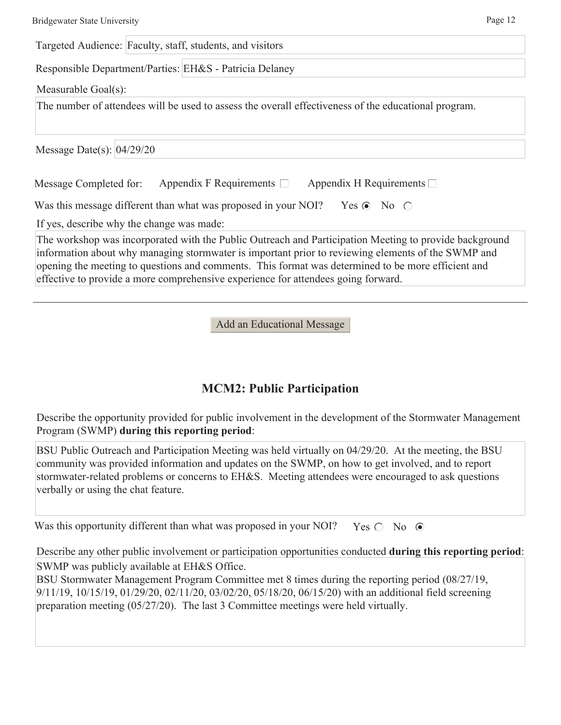Targeted Audience: Faculty, staff, students, and visitors

Responsible Department/Parties: EH&S - Patricia Delaney

Measurable Goal(s):

The number of attendees will be used to assess the overall effectiveness of the educational program.

Message Date(s): 04/29/20

| Message Completed for: | Appendix F Requirements $\Box$ | Appendix H Requirements $\Box$ |
|------------------------|--------------------------------|--------------------------------|
|                        |                                |                                |

If yes, describe why the change was made:

The workshop was incorporated with the Public Outreach and Participation Meeting to provide background information about why managing stormwater is important prior to reviewing elements of the SWMP and opening the meeting to questions and comments. This format was determined to be more efficient and effective to provide a more comprehensive experience for attendees going forward.

Add an Educational Message

## **MCM2: Public Participation**

Describe the opportunity provided for public involvement in the development of the Stormwater Management Program (SWMP) **during this reporting period**:

BSU Public Outreach and Participation Meeting was held virtually on 04/29/20. At the meeting, the BSU community was provided information and updates on the SWMP, on how to get involved, and to report stormwater-related problems or concerns to EH&S. Meeting attendees were encouraged to ask questions verbally or using the chat feature.

Was this opportunity different than what was proposed in your NOI? Yes  $\bigcirc$  No  $\bigcirc$ 

Describe any other public involvement or participation opportunities conducted **during this reporting period**: SWMP was publicly available at EH&S Office.

BSU Stormwater Management Program Committee met 8 times during the reporting period (08/27/19, 9/11/19, 10/15/19, 01/29/20, 02/11/20, 03/02/20, 05/18/20, 06/15/20) with an additional field screening preparation meeting (05/27/20). The last 3 Committee meetings were held virtually.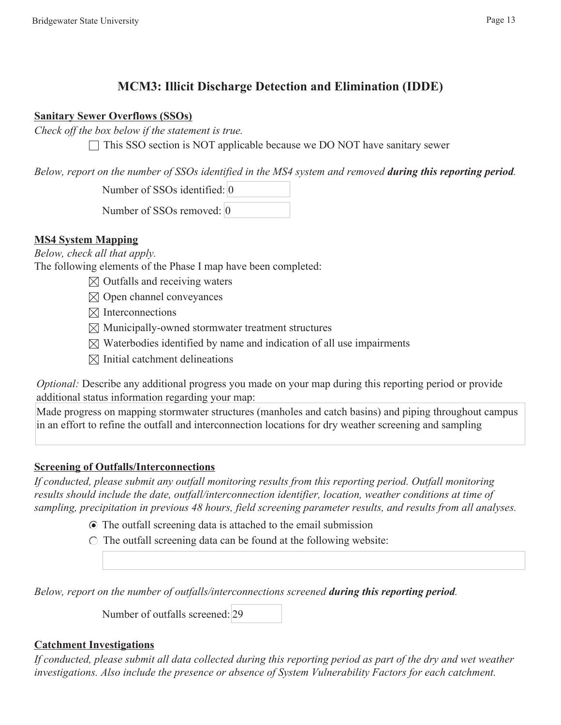## **MCM3: Illicit Discharge Detection and Elimination (IDDE)**

#### **Sanitary Sewer Overflows (SSOs)**

*Check off the box below if the statement is true.* 

 $\Box$  This SSO section is NOT applicable because we DO NOT have sanitary sewer

*Below, report on the number of SSOs identified in the MS4 system and removed <i>during this reporting period.* 

Number of SSOs identified: 0

Number of SSOs removed: 0

## **MS4 System Mapping**

*Below, check all that apply.* 

The following elements of the Phase I map have been completed:

- $\boxtimes$  Outfalls and receiving waters
- $\boxtimes$  Open channel conveyances
- $\boxtimes$  Interconnections
- $\boxtimes$  Municipally-owned stormwater treatment structures
- $\boxtimes$  Waterbodies identified by name and indication of all use impairments
- $\boxtimes$  Initial catchment delineations

*Optional:* Describe any additional progress you made on your map during this reporting period or provide additional status information regarding your map:

Made progress on mapping stormwater structures (manholes and catch basins) and piping throughout campus in an effort to refine the outfall and interconnection locations for dry weather screening and sampling

## **Screening of Outfalls/Interconnections**

*If conducted, please submit any outfall monitoring results from this reporting period. Outfall monitoring results should include the date, outfall/interconnection identifier, location, weather conditions at time of sampling, precipitation in previous 48 hours, field screening parameter results, and results from all analyses.* 

- The outfall screening data is attached to the email submission
- $\circ$  The outfall screening data can be found at the following website:

*Below, report on the number of outfalls/interconnections screened during this reporting period.* 

Number of outfalls screened: 29

## **Catchment Investigations**

*If conducted, please submit all data collected during this reporting period as part of the dry and wet weather investigations. Also include the presence or absence of System Vulnerability Factors for each catchment.*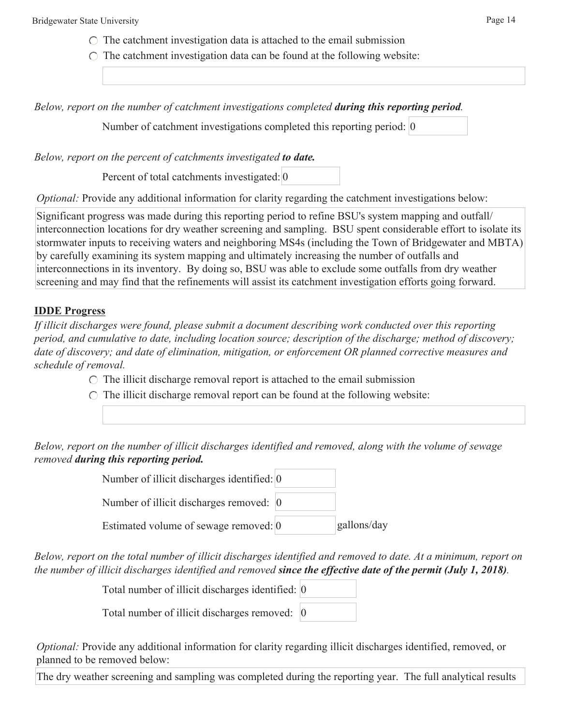- $\circ$  The catchment investigation data is attached to the email submission
- $\circ$  The catchment investigation data can be found at the following website:

*Below, report on the number of catchment investigations completed during this reporting period.* 

Number of catchment investigations completed this reporting period: 0

*Below, report on the percent of catchments investigated to date.* 

Percent of total catchments investigated: 0

*Optional:* Provide any additional information for clarity regarding the catchment investigations below:

Significant progress was made during this reporting period to refine BSU's system mapping and outfall/ interconnection locations for dry weather screening and sampling. BSU spent considerable effort to isolate its stormwater inputs to receiving waters and neighboring MS4s (including the Town of Bridgewater and MBTA) by carefully examining its system mapping and ultimately increasing the number of outfalls and interconnections in its inventory. By doing so, BSU was able to exclude some outfalls from dry weather screening and may find that the refinements will assist its catchment investigation efforts going forward.

#### **IDDE Progress**

*If illicit discharges were found, please submit a document describing work conducted over this reporting period, and cumulative to date, including location source; description of the discharge; method of discovery; date of discovery; and date of elimination, mitigation, or enforcement OR planned corrective measures and schedule of removal.* 

- $\circ$  The illicit discharge removal report is attached to the email submission
- $\circ$  The illicit discharge removal report can be found at the following website:

*Below, report on the number of illicit discharges identified and removed, along with the volume of sewage removed during this reporting period.* 

| Number of illicit discharges identified: 0 |             |
|--------------------------------------------|-------------|
| Number of illicit discharges removed: 0    |             |
| Estimated volume of sewage removed: 0      | gallons/day |

*Below, report on the total number of illicit discharges identified and removed to date. At a minimum, report on the number of illicit discharges identified and removed since the effective date of the permit (July 1, 2018).* 

Total number of illicit discharges identified: 0

Total number of illicit discharges removed: 0

*Optional:* Provide any additional information for clarity regarding illicit discharges identified, removed, or planned to be removed below:

The dry weather screening and sampling was completed during the reporting year. The full analytical results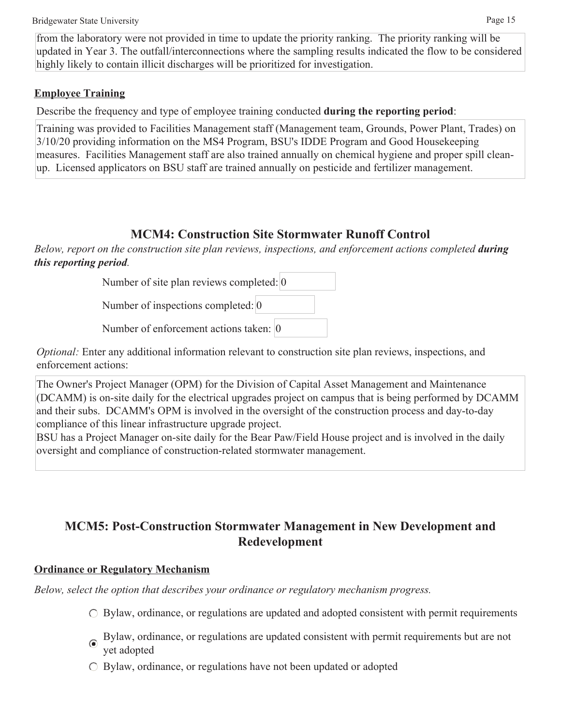from the laboratory were not provided in time to update the priority ranking. The priority ranking will be updated in Year 3. The outfall/interconnections where the sampling results indicated the flow to be considered highly likely to contain illicit discharges will be prioritized for investigation.

## **Employee Training**

Describe the frequency and type of employee training conducted **during the reporting period**:

Training was provided to Facilities Management staff (Management team, Grounds, Power Plant, Trades) on 3/10/20 providing information on the MS4 Program, BSU's IDDE Program and Good Housekeeping measures. Facilities Management staff are also trained annually on chemical hygiene and proper spill cleanup. Licensed applicators on BSU staff are trained annually on pesticide and fertilizer management.

## **MCM4: Construction Site Stormwater Runoff Control**

*Below, report on the construction site plan reviews, inspections, and enforcement actions completed <i>during this reporting period.* 

Number of site plan reviews completed: 0

Number of inspections completed: 0

Number of enforcement actions taken: 0

*Optional:* Enter any additional information relevant to construction site plan reviews, inspections, and enforcement actions:

The Owner's Project Manager (OPM) for the Division of Capital Asset Management and Maintenance (DCAMM) is on-site daily for the electrical upgrades project on campus that is being performed by DCAMM and their subs. DCAMM's OPM is involved in the oversight of the construction process and day-to-day compliance of this linear infrastructure upgrade project.

BSU has a Project Manager on-site daily for the Bear Paw/Field House project and is involved in the daily oversight and compliance of construction-related stormwater management.

## **MCM5: Post-Construction Stormwater Management in New Development and Redevelopment**

## **Ordinance or Regulatory Mechanism**

*Below, select the option that describes your ordinance or regulatory mechanism progress.* 

- $\circ$  Bylaw, ordinance, or regulations are updated and adopted consistent with permit requirements
- Bylaw, ordinance, or regulations are updated consistent with permit requirements but are not yet adopted
- $\circ$  Bylaw, ordinance, or regulations have not been updated or adopted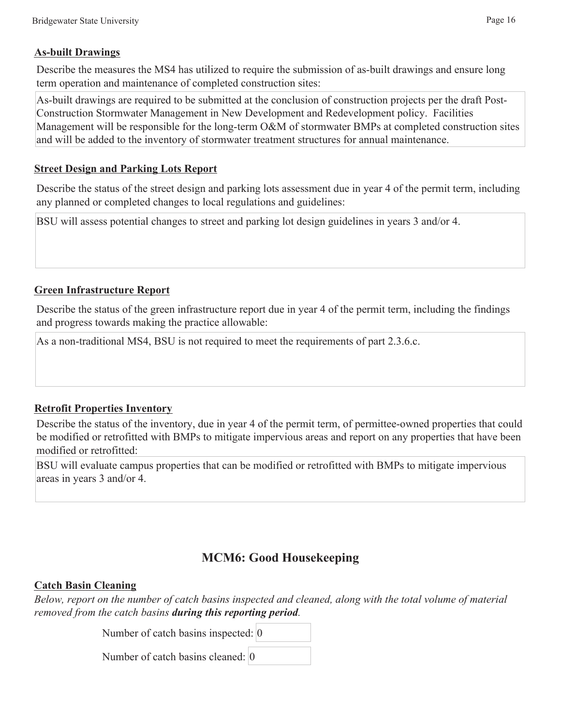#### **As-built Drawings**

Describe the measures the MS4 has utilized to require the submission of as-built drawings and ensure long term operation and maintenance of completed construction sites:

As-built drawings are required to be submitted at the conclusion of construction projects per the draft Post-Construction Stormwater Management in New Development and Redevelopment policy. Facilities Management will be responsible for the long-term O&M of stormwater BMPs at completed construction sites and will be added to the inventory of stormwater treatment structures for annual maintenance.

#### **Street Design and Parking Lots Report**

Describe the status of the street design and parking lots assessment due in year 4 of the permit term, including any planned or completed changes to local regulations and guidelines:

BSU will assess potential changes to street and parking lot design guidelines in years 3 and/or 4.

#### **Green Infrastructure Report**

Describe the status of the green infrastructure report due in year 4 of the permit term, including the findings and progress towards making the practice allowable:

As a non-traditional MS4, BSU is not required to meet the requirements of part 2.3.6.c.

#### **Retrofit Properties Inventory**

Describe the status of the inventory, due in year 4 of the permit term, of permittee-owned properties that could be modified or retrofitted with BMPs to mitigate impervious areas and report on any properties that have been modified or retrofitted:

BSU will evaluate campus properties that can be modified or retrofitted with BMPs to mitigate impervious areas in years 3 and/or 4.

## **MCM6: Good Housekeeping**

#### **Catch Basin Cleaning**

*Below, report on the number of catch basins inspected and cleaned, along with the total volume of material removed from the catch basins during this reporting period.* 

Number of catch basins inspected: 0

Number of catch basins cleaned: 0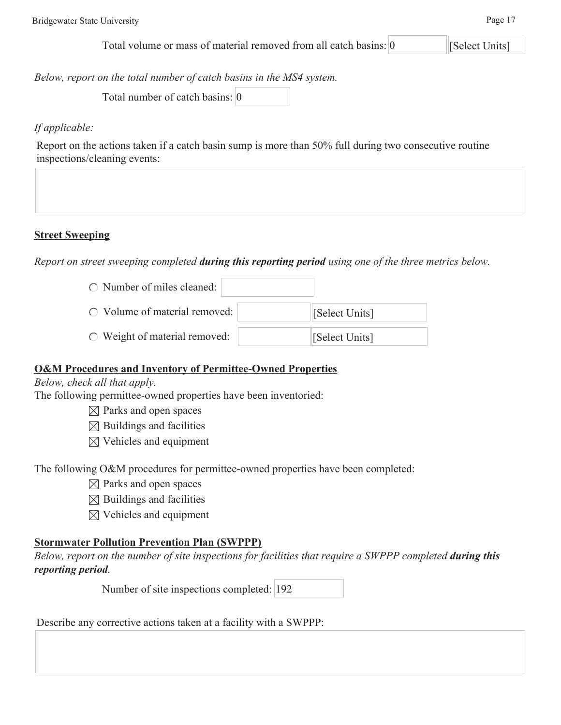*Below, report on the total number of catch basins in the MS4 system.* 

Total number of catch basins: 0

### *If applicable:*

Report on the actions taken if a catch basin sump is more than 50% full during two consecutive routine inspections/cleaning events:

#### **Street Sweeping**

*Report on street sweeping completed during this reporting period using one of the three metrics below.* 

| $\circ$ Number of miles cleaned:       |                |
|----------------------------------------|----------------|
| $\bigcirc$ Volume of material removed: | Select Units]  |
| $\circ$ Weight of material removed:    | [Select Units] |

#### **O&M Procedures and Inventory of Permittee-Owned Properties**

*Below, check all that apply.* 

The following permittee-owned properties have been inventoried:

- $\boxtimes$  Parks and open spaces
- $\boxtimes$  Buildings and facilities
- $\boxtimes$  Vehicles and equipment

The following O&M procedures for permittee-owned properties have been completed:

- $\boxtimes$  Parks and open spaces
- $\boxtimes$  Buildings and facilities
- $\boxtimes$  Vehicles and equipment

#### **Stormwater Pollution Prevention Plan (SWPPP)**

*Below, report on the number of site inspections for facilities that require a SWPPP completed during this reporting period.* 

Number of site inspections completed: 192

Describe any corrective actions taken at a facility with a SWPPP: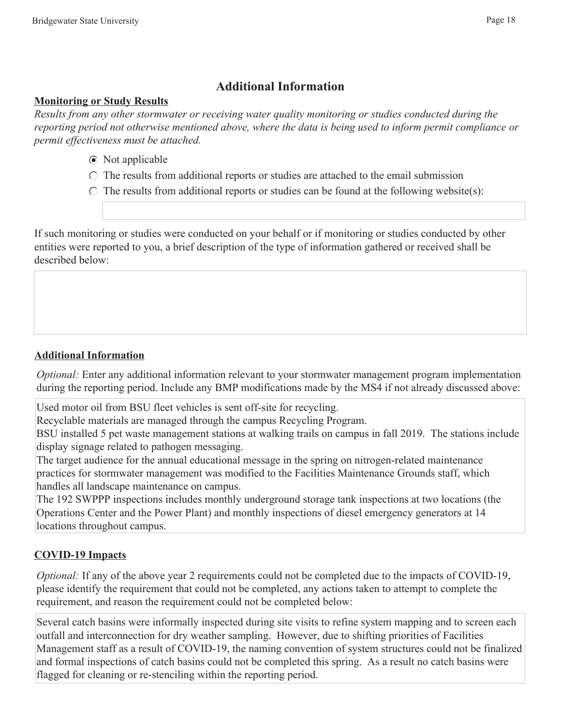## **Additional Information**

#### **Monitoring or Study Results**

*Results from any other stormwater or receiving water quality monitoring or studies conducted during the reporting period not otherwise mentioned above, where the data is being used to inform permit compliance or permit effectiveness must be attached.* 

- Not applicable
- $\circ$  The results from additional reports or studies are attached to the email submission

 $\circ$  The results from additional reports or studies can be found at the following website(s):

If such monitoring or studies were conducted on your behalf or if monitoring or studies conducted by other entities were reported to you, a brief description of the type of information gathered or received shall be described below:

## **Additional Information**

*Optional:* Enter any additional information relevant to your stormwater management program implementation during the reporting period. Include any BMP modifications made by the MS4 if not already discussed above:

Used motor oil from BSU fleet vehicles is sent off-site for recycling.

Recyclable materials are managed through the campus Recycling Program.

BSU installed 5 pet waste management stations at walking trails on campus in fall 2019. The stations include display signage related to pathogen messaging.

The target audience for the annual educational message in the spring on nitrogen-related maintenance practices for stormwater management was modified to the Facilities Maintenance Grounds staff, which handles all landscape maintenance on campus.

The 192 SWPPP inspections includes monthly underground storage tank inspections at two locations (the Operations Center and the Power Plant) and monthly inspections of diesel emergency generators at 14 locations throughout campus.

## **COVID-19 Impacts**

*Optional:* If any of the above year 2 requirements could not be completed due to the impacts of COVID-19, please identify the requirement that could not be completed, any actions taken to attempt to complete the requirement, and reason the requirement could not be completed below:

Several catch basins were informally inspected during site visits to refine system mapping and to screen each outfall and interconnection for dry weather sampling. However, due to shifting priorities of Facilities Management staff as a result of COVID-19, the naming convention of system structures could not be finalized and formal inspections of catch basins could not be completed this spring. As a result no catch basins were flagged for cleaning or re-stenciling within the reporting period.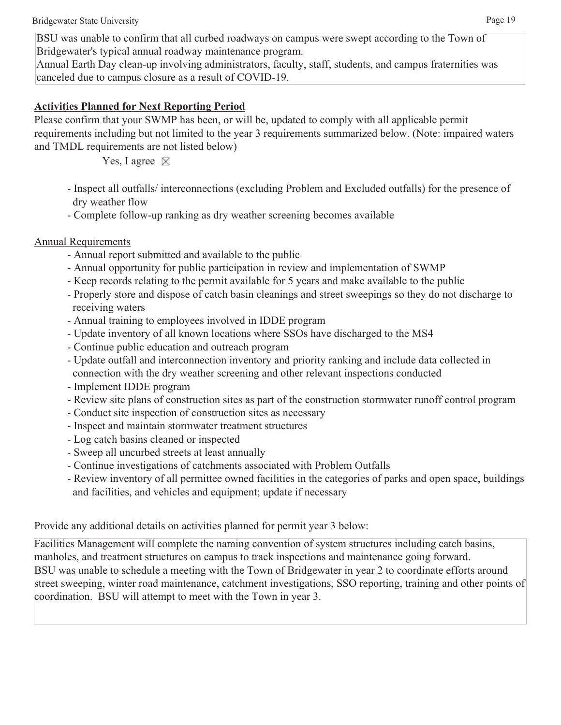BSU was unable to confirm that all curbed roadways on campus were swept according to the Town of Bridgewater's typical annual roadway maintenance program.

Annual Earth Day clean-up involving administrators, faculty, staff, students, and campus fraternities was canceled due to campus closure as a result of COVID-19.

### **Activities Planned for Next Reporting Period**

Please confirm that your SWMP has been, or will be, updated to comply with all applicable permit requirements including but not limited to the year 3 requirements summarized below. (Note: impaired waters and TMDL requirements are not listed below)

Yes, I agree  $\boxtimes$ 

- Inspect all outfalls/ interconnections (excluding Problem and Excluded outfalls) for the presence of dry weather flow
- Complete follow-up ranking as dry weather screening becomes available

## Annual Requirements

- Annual report submitted and available to the public
- Annual opportunity for public participation in review and implementation of SWMP
- Keep records relating to the permit available for 5 years and make available to the public
- Properly store and dispose of catch basin cleanings and street sweepings so they do not discharge to receiving waters
- Annual training to employees involved in IDDE program
- Update inventory of all known locations where SSOs have discharged to the MS4
- Continue public education and outreach program
- Update outfall and interconnection inventory and priority ranking and include data collected in connection with the dry weather screening and other relevant inspections conducted
- Implement IDDE program
- Review site plans of construction sites as part of the construction stormwater runoff control program
- Conduct site inspection of construction sites as necessary
- Inspect and maintain stormwater treatment structures
- Log catch basins cleaned or inspected
- Sweep all uncurbed streets at least annually
- Continue investigations of catchments associated with Problem Outfalls
- Review inventory of all permittee owned facilities in the categories of parks and open space, buildings and facilities, and vehicles and equipment; update if necessary

Provide any additional details on activities planned for permit year 3 below:

Facilities Management will complete the naming convention of system structures including catch basins, manholes, and treatment structures on campus to track inspections and maintenance going forward. BSU was unable to schedule a meeting with the Town of Bridgewater in year 2 to coordinate efforts around street sweeping, winter road maintenance, catchment investigations, SSO reporting, training and other points of coordination. BSU will attempt to meet with the Town in year 3.